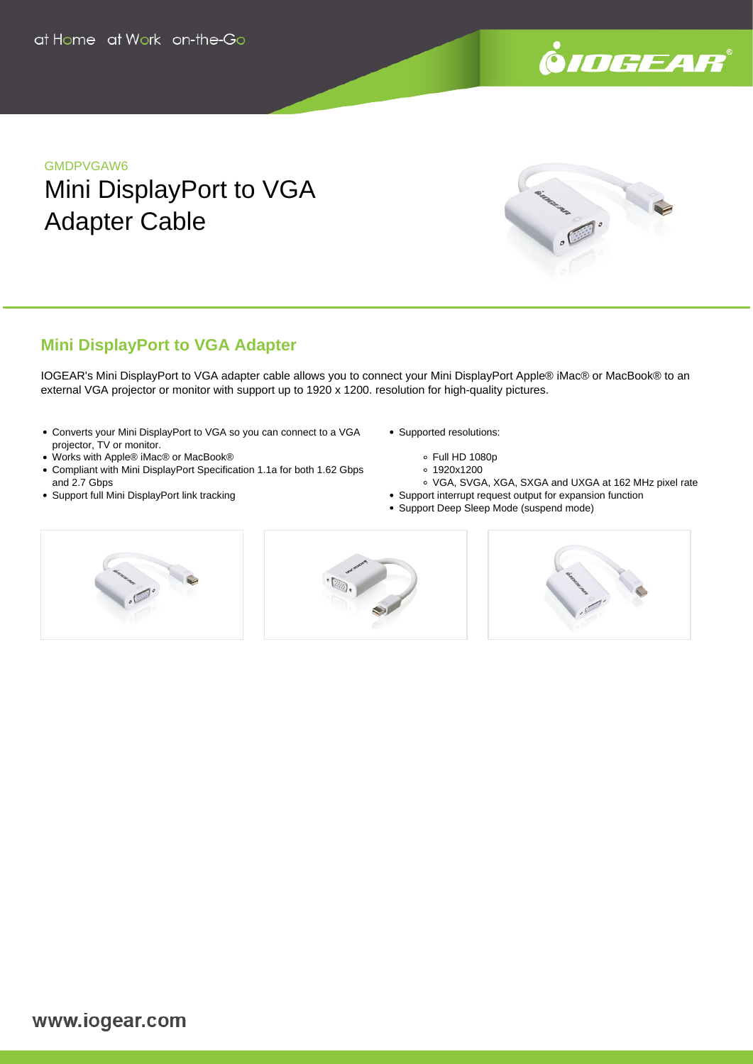

### GMDPVGAW6

# Mini DisplayPort to VGA Adapter Cable



## **Mini DisplayPort to VGA Adapter**

IOGEAR's Mini DisplayPort to VGA adapter cable allows you to connect your Mini DisplayPort Apple® iMac® or MacBook® to an external VGA projector or monitor with support up to 1920 x 1200. resolution for high-quality pictures.

- Converts your Mini DisplayPort to VGA so you can connect to a VGA projector, TV or monitor.
- Works with Apple® iMac® or MacBook®
- Compliant with Mini DisplayPort Specification 1.1a for both 1.62 Gbps and 2.7 Gbps
- Support full Mini DisplayPort link tracking
- Supported resolutions:
	- Full HD 1080p
	- 1920x1200
	- VGA, SVGA, XGA, SXGA and UXGA at 162 MHz pixel rate
- Support interrupt request output for expansion function
- Support Deep Sleep Mode (suspend mode)